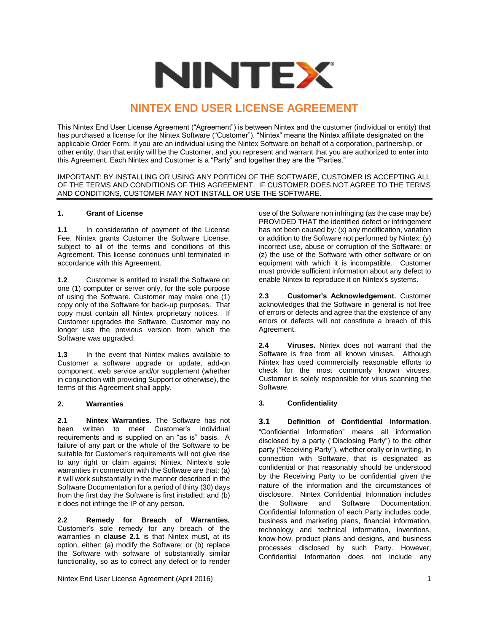

# **NINTEX END USER LICENSE AGREEMENT**

This Nintex End User License Agreement ("Agreement") is between Nintex and the customer (individual or entity) that has purchased a license for the Nintex Software ("Customer"). "Nintex" means the Nintex affiliate designated on the applicable Order Form. If you are an individual using the Nintex Software on behalf of a corporation, partnership, or other entity, than that entity will be the Customer, and you represent and warrant that you are authorized to enter into this Agreement. Each Nintex and Customer is a "Party" and together they are the "Parties."

IMPORTANT: BY INSTALLING OR USING ANY PORTION OF THE SOFTWARE, CUSTOMER IS ACCEPTING ALL OF THE TERMS AND CONDITIONS OF THIS AGREEMENT. IF CUSTOMER DOES NOT AGREE TO THE TERMS AND CONDITIONS, CUSTOMER MAY NOT INSTALL OR USE THE SOFTWARE.

#### **1. Grant of License**

**1.1** In consideration of payment of the License Fee, Nintex grants Customer the Software License, subject to all of the terms and conditions of this Agreement. This license continues until terminated in accordance with this Agreement.

**1.2** Customer is entitled to install the Software on one (1) computer or server only, for the sole purpose of using the Software. Customer may make one (1) copy only of the Software for back-up purposes. That copy must contain all Nintex proprietary notices. If Customer upgrades the Software, Customer may no longer use the previous version from which the Software was upgraded.

**1.3** In the event that Nintex makes available to Customer a software upgrade or update, add-on component, web service and/or supplement (whether in conjunction with providing Support or otherwise), the terms of this Agreement shall apply.

# **2. Warranties**

**2.1 Nintex Warranties.** The Software has not been written to meet Customer's individual requirements and is supplied on an "as is" basis. A failure of any part or the whole of the Software to be suitable for Customer's requirements will not give rise to any right or claim against Nintex. Nintex's sole warranties in connection with the Software are that: (a) it will work substantially in the manner described in the Software Documentation for a period of thirty (30) days from the first day the Software is first installed; and (b) it does not infringe the IP of any person.

**2.2 Remedy for Breach of Warranties.**  Customer's sole remedy for any breach of the warranties in **clause 2.1** is that Nintex must, at its option, either: (a) modify the Software; or (b) replace the Software with software of substantially similar functionality, so as to correct any defect or to render

Nintex End User License Agreement (April 2016) 1

use of the Software non infringing (as the case may be) PROVIDED THAT the identified defect or infringement has not been caused by: (x) any modification, variation or addition to the Software not performed by Nintex; (y) incorrect use, abuse or corruption of the Software; or (z) the use of the Software with other software or on equipment with which it is incompatible. Customer must provide sufficient information about any defect to enable Nintex to reproduce it on Nintex's systems.

**2.3 Customer's Acknowledgement.** Customer acknowledges that the Software in general is not free of errors or defects and agree that the existence of any errors or defects will not constitute a breach of this Agreement.

**2.4 Viruses.** Nintex does not warrant that the Software is free from all known viruses. Although Nintex has used commercially reasonable efforts to check for the most commonly known viruses, Customer is solely responsible for virus scanning the Software.

# **3. Confidentiality**

**3.1 Definition of Confidential Information**. "Confidential Information" means all information disclosed by a party ("Disclosing Party") to the other party ("Receiving Party"), whether orally or in writing, in connection with Software, that is designated as confidential or that reasonably should be understood by the Receiving Party to be confidential given the nature of the information and the circumstances of disclosure. Nintex Confidential Information includes the Software and Software Documentation. Confidential Information of each Party includes code, business and marketing plans, financial information, technology and technical information, inventions, know-how, product plans and designs, and business processes disclosed by such Party. However, Confidential Information does not include any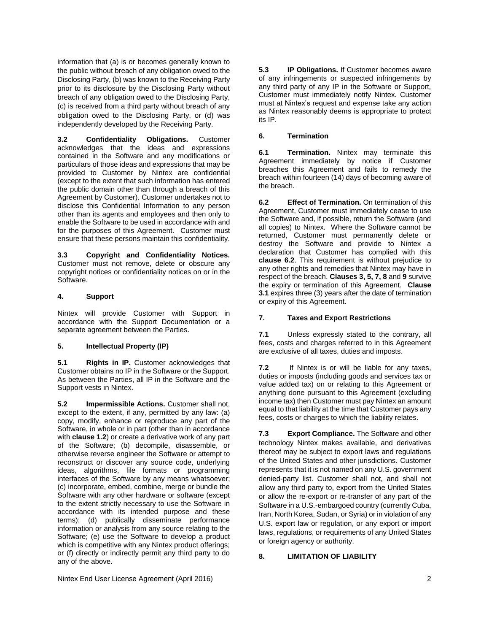information that (a) is or becomes generally known to the public without breach of any obligation owed to the Disclosing Party, (b) was known to the Receiving Party prior to its disclosure by the Disclosing Party without breach of any obligation owed to the Disclosing Party, (c) is received from a third party without breach of any obligation owed to the Disclosing Party, or (d) was independently developed by the Receiving Party.

**3.2 Confidentiality Obligations.** Customer acknowledges that the ideas and expressions contained in the Software and any modifications or particulars of those ideas and expressions that may be provided to Customer by Nintex are confidential (except to the extent that such information has entered the public domain other than through a breach of this Agreement by Customer). Customer undertakes not to disclose this Confidential Information to any person other than its agents and employees and then only to enable the Software to be used in accordance with and for the purposes of this Agreement. Customer must ensure that these persons maintain this confidentiality.

**3.3 Copyright and Confidentiality Notices.**  Customer must not remove, delete or obscure any copyright notices or confidentiality notices on or in the Software.

#### **4. Support**

Nintex will provide Customer with Support in accordance with the Support Documentation or a separate agreement between the Parties.

# **5. Intellectual Property (IP)**

**5.1 Rights in IP.** Customer acknowledges that Customer obtains no IP in the Software or the Support. As between the Parties, all IP in the Software and the Support vests in Nintex.

**5.2 Impermissible Actions.** Customer shall not, except to the extent, if any, permitted by any law: (a) copy, modify, enhance or reproduce any part of the Software, in whole or in part (other than in accordance with **clause 1.2**) or create a derivative work of any part of the Software; (b) decompile, disassemble, or otherwise reverse engineer the Software or attempt to reconstruct or discover any source code, underlying ideas, algorithms, file formats or programming interfaces of the Software by any means whatsoever; (c) incorporate, embed, combine, merge or bundle the Software with any other hardware or software (except to the extent strictly necessary to use the Software in accordance with its intended purpose and these terms); (d) publically disseminate performance information or analysis from any source relating to the Software; (e) use the Software to develop a product which is competitive with any Nintex product offerings; or (f) directly or indirectly permit any third party to do any of the above.

**5.3 IP Obligations.** If Customer becomes aware of any infringements or suspected infringements by any third party of any IP in the Software or Support, Customer must immediately notify Nintex. Customer must at Nintex's request and expense take any action as Nintex reasonably deems is appropriate to protect its IP.

#### **6. Termination**

**6.1 Termination.** Nintex may terminate this Agreement immediately by notice if Customer breaches this Agreement and fails to remedy the breach within fourteen (14) days of becoming aware of the breach.

**6.2 Effect of Termination.** On termination of this Agreement, Customer must immediately cease to use the Software and, if possible, return the Software (and all copies) to Nintex. Where the Software cannot be returned, Customer must permanently delete or destroy the Software and provide to Nintex a declaration that Customer has complied with this **clause 6.2**. This requirement is without prejudice to any other rights and remedies that Nintex may have in respect of the breach. **Clauses 3, 5, 7, 8** and **9** survive the expiry or termination of this Agreement. **Clause 3.1** expires three (3) years after the date of termination or expiry of this Agreement.

## **7. Taxes and Export Restrictions**

**7.1** Unless expressly stated to the contrary, all fees, costs and charges referred to in this Agreement are exclusive of all taxes, duties and imposts.

**7.2** If Nintex is or will be liable for any taxes, duties or imposts (including goods and services tax or value added tax) on or relating to this Agreement or anything done pursuant to this Agreement (excluding income tax) then Customer must pay Nintex an amount equal to that liability at the time that Customer pays any fees, costs or charges to which the liability relates.

**7.3 Export Compliance.** The Software and other technology Nintex makes available, and derivatives thereof may be subject to export laws and regulations of the United States and other jurisdictions. Customer represents that it is not named on any U.S. government denied-party list. Customer shall not, and shall not allow any third party to, export from the United States or allow the re-export or re-transfer of any part of the Software in a U.S.-embargoed country (currently Cuba, Iran, North Korea, Sudan, or Syria) or in violation of any U.S. export law or regulation, or any export or import laws, regulations, or requirements of any United States or foreign agency or authority.

# **8. LIMITATION OF LIABILITY**

Nintex End User License Agreement (April 2016) 2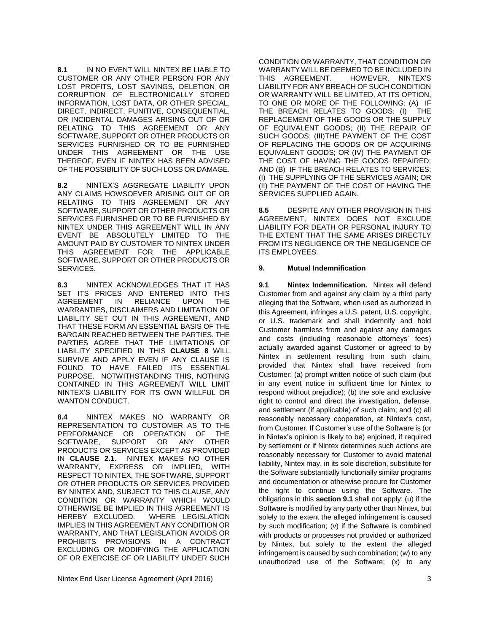**8.1** IN NO EVENT WILL NINTEX BE LIABLE TO CUSTOMER OR ANY OTHER PERSON FOR ANY LOST PROFITS, LOST SAVINGS, DELETION OR CORRUPTION OF ELECTRONICALLY STORED INFORMATION, LOST DATA, OR OTHER SPECIAL, DIRECT, INDIRECT, PUNITIVE, CONSEQUENTIAL, OR INCIDENTAL DAMAGES ARISING OUT OF OR RELATING TO THIS AGREEMENT OR ANY SOFTWARE, SUPPORT OR OTHER PRODUCTS OR SERVICES FURNISHED OR TO BE FURNISHED UNDER THIS AGREEMENT OR THE USE THEREOF, EVEN IF NINTEX HAS BEEN ADVISED OF THE POSSIBILITY OF SUCH LOSS OR DAMAGE.

**8.2** NINTEX'S AGGREGATE LIABILITY UPON ANY CLAIMS HOWSOEVER ARISING OUT OF OR RELATING TO THIS AGREEMENT OR ANY SOFTWARE, SUPPORT OR OTHER PRODUCTS OR SERVICES FURNISHED OR TO BE FURNISHED BY NINTEX UNDER THIS AGREEMENT WILL IN ANY EVENT BE ABSOLUTELY LIMITED TO THE AMOUNT PAID BY CUSTOMER TO NINTEX UNDER THIS AGREEMENT FOR THE APPLICABLE SOFTWARE, SUPPORT OR OTHER PRODUCTS OR SERVICES.

**8.3** NINTEX ACKNOWLEDGES THAT IT HAS SET ITS PRICES AND ENTERED INTO THIS AGREEMENT IN RELIANCE UPON THE WARRANTIES, DISCLAIMERS AND LIMITATION OF LIABILITY SET OUT IN THIS AGREEMENT, AND THAT THESE FORM AN ESSENTIAL BASIS OF THE BARGAIN REACHED BETWEEN THE PARTIES. THE PARTIES AGREE THAT THE LIMITATIONS OF LIABILITY SPECIFIED IN THIS **CLAUSE 8** WILL SURVIVE AND APPLY EVEN IF ANY CLAUSE IS FOUND TO HAVE FAILED ITS ESSENTIAL PURPOSE. NOTWITHSTANDING THIS, NOTHING CONTAINED IN THIS AGREEMENT WILL LIMIT NINTEX'S LIABILITY FOR ITS OWN WILLFUL OR WANTON CONDUCT.

**8.4** NINTEX MAKES NO WARRANTY OR REPRESENTATION TO CUSTOMER AS TO THE PERFORMANCE OR OPERATION OF THE SOFTWARE, SUPPORT OR ANY OTHER **PRODUCTS OR SERVICES EXCEPT AS PROVIDED IN CLAUSE 2.1. NINTEX MAKES NO OTHER** IN **CLAUSE 2.1**. NINTEX MAKES NO OTHER WARRANTY, EXPRESS OR IMPLIED, WITH RESPECT TO NINTEX, THE SOFTWARE, SUPPORT OR OTHER PRODUCTS OR SERVICES PROVIDED BY NINTEX AND, SUBJECT TO THIS CLAUSE, ANY CONDITION OR WARRANTY WHICH WOULD OTHERWISE BE IMPLIED IN THIS AGREEMENT IS HEREBY EXCLUDED. WHERE LEGISLATION IMPLIES IN THIS AGREEMENT ANY CONDITION OR WARRANTY, AND THAT LEGISLATION AVOIDS OR PROHIBITS PROVISIONS IN A CONTRACT EXCLUDING OR MODIFYING THE APPLICATION OF OR EXERCISE OF OR LIABILITY UNDER SUCH

CONDITION OR WARRANTY, THAT CONDITION OR WARRANTY WILL BE DEEMED TO BE INCLUDED IN THIS AGREEMENT. HOWEVER, NINTEX'S LIABILITY FOR ANY BREACH OF SUCH CONDITION OR WARRANTY WILL BE LIMITED, AT ITS OPTION, TO ONE OR MORE OF THE FOLLOWING: (A) IF THE BREACH RELATES TO GOODS: (I) THE REPLACEMENT OF THE GOODS OR THE SUPPLY OF EQUIVALENT GOODS; (II) THE REPAIR OF SUCH GOODS; (III)THE PAYMENT OF THE COST OF REPLACING THE GOODS OR OF ACQUIRING EQUIVALENT GOODS; OR (IV) THE PAYMENT OF THE COST OF HAVING THE GOODS REPAIRED; AND (B) IF THE BREACH RELATES TO SERVICES: (I) THE SUPPLYING OF THE SERVICES AGAIN; OR (II) THE PAYMENT OF THE COST OF HAVING THE SERVICES SUPPLIED AGAIN.

**8.5** DESPITE ANY OTHER PROVISION IN THIS AGREEMENT, NINTEX DOES NOT EXCLUDE LIABILITY FOR DEATH OR PERSONAL INJURY TO THE EXTENT THAT THE SAME ARISES DIRECTLY FROM ITS NEGLIGENCE OR THE NEGLIGENCE OF ITS EMPLOYEES.

#### **9. Mutual Indemnification**

**9.1 Nintex Indemnification.** Nintex will defend Customer from and against any claim by a third party alleging that the Software, when used as authorized in this Agreement, infringes a U.S. patent, U.S. copyright, or U.S. trademark and shall indemnify and hold Customer harmless from and against any damages and costs (including reasonable attorneys' fees) actually awarded against Customer or agreed to by Nintex in settlement resulting from such claim, provided that Nintex shall have received from Customer: (a) prompt written notice of such claim (but in any event notice in sufficient time for Nintex to respond without prejudice); (b) the sole and exclusive right to control and direct the investigation, defense, and settlement (if applicable) of such claim; and (c) all reasonably necessary cooperation, at Nintex's cost, from Customer. If Customer's use of the Software is (or in Nintex's opinion is likely to be) enjoined, if required by settlement or if Nintex determines such actions are reasonably necessary for Customer to avoid material liability, Nintex may, in its sole discretion, substitute for the Software substantially functionally similar programs and documentation or otherwise procure for Customer the right to continue using the Software. The obligations in this **section 9.1** shall not apply: (u) if the Software is modified by any party other than Nintex, but solely to the extent the alleged infringement is caused by such modification; (v) if the Software is combined with products or processes not provided or authorized by Nintex, but solely to the extent the alleged infringement is caused by such combination; (w) to any unauthorized use of the Software; (x) to any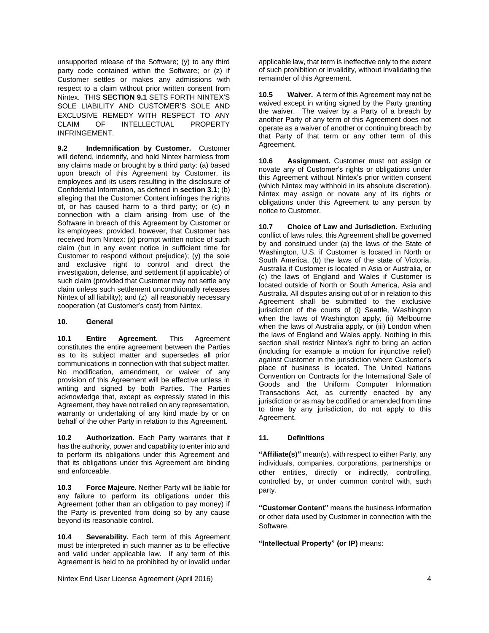unsupported release of the Software; (y) to any third party code contained within the Software; or (z) if Customer settles or makes any admissions with respect to a claim without prior written consent from Nintex. THIS **SECTION 9.1** SETS FORTH NINTEX'S SOLE LIABILITY AND CUSTOMER'S SOLE AND EXCLUSIVE REMEDY WITH RESPECT TO ANY CLAIM OF INTELLECTUAL PROPERTY INFRINGEMENT.

**9.2 Indemnification by Customer.** Customer will defend, indemnify, and hold Nintex harmless from any claims made or brought by a third party: (a) based upon breach of this Agreement by Customer, its employees and its users resulting in the disclosure of Confidential Information, as defined in **section 3.1**; (b) alleging that the Customer Content infringes the rights of, or has caused harm to a third party; or (c) in connection with a claim arising from use of the Software in breach of this Agreement by Customer or its employees; provided, however, that Customer has received from Nintex: (x) prompt written notice of such claim (but in any event notice in sufficient time for Customer to respond without prejudice); (y) the sole and exclusive right to control and direct the investigation, defense, and settlement (if applicable) of such claim (provided that Customer may not settle any claim unless such settlement unconditionally releases Nintex of all liability); and (z) all reasonably necessary cooperation (at Customer's cost) from Nintex.

#### **10. General**

**10.1 Entire Agreement.** This Agreement constitutes the entire agreement between the Parties as to its subject matter and supersedes all prior communications in connection with that subject matter. No modification, amendment, or waiver of any provision of this Agreement will be effective unless in writing and signed by both Parties. The Parties acknowledge that, except as expressly stated in this Agreement, they have not relied on any representation, warranty or undertaking of any kind made by or on behalf of the other Party in relation to this Agreement.

**10.2 Authorization.** Each Party warrants that it has the authority, power and capability to enter into and to perform its obligations under this Agreement and that its obligations under this Agreement are binding and enforceable.

**10.3 Force Majeure.** Neither Party will be liable for any failure to perform its obligations under this Agreement (other than an obligation to pay money) if the Party is prevented from doing so by any cause beyond its reasonable control.

**10.4 Severability.** Each term of this Agreement must be interpreted in such manner as to be effective and valid under applicable law. If any term of this Agreement is held to be prohibited by or invalid under

applicable law, that term is ineffective only to the extent of such prohibition or invalidity, without invalidating the remainder of this Agreement.

**10.5 Waiver.** A term of this Agreement may not be waived except in writing signed by the Party granting the waiver. The waiver by a Party of a breach by another Party of any term of this Agreement does not operate as a waiver of another or continuing breach by that Party of that term or any other term of this Agreement.

**10.6 Assignment.** Customer must not assign or novate any of Customer's rights or obligations under this Agreement without Nintex's prior written consent (which Nintex may withhold in its absolute discretion). Nintex may assign or novate any of its rights or obligations under this Agreement to any person by notice to Customer.

**10.7 Choice of Law and Jurisdiction.** Excluding conflict of laws rules, this Agreement shall be governed by and construed under (a) the laws of the State of Washington, U.S. if Customer is located in North or South America, (b) the laws of the state of Victoria, Australia if Customer is located in Asia or Australia, or (c) the laws of England and Wales if Customer is located outside of North or South America, Asia and Australia. All disputes arising out of or in relation to this Agreement shall be submitted to the exclusive jurisdiction of the courts of (i) Seattle, Washington when the laws of Washington apply, (ii) Melbourne when the laws of Australia apply, or (iii) London when the laws of England and Wales apply. Nothing in this section shall restrict Nintex's right to bring an action (including for example a motion for injunctive relief) against Customer in the jurisdiction where Customer's place of business is located. The United Nations Convention on Contracts for the International Sale of Goods and the Uniform Computer Information Transactions Act, as currently enacted by any jurisdiction or as may be codified or amended from time to time by any jurisdiction, do not apply to this Agreement.

# **11. Definitions**

**"Affiliate(s)"** mean(s), with respect to either Party, any individuals, companies, corporations, partnerships or other entities, directly or indirectly, controlling, controlled by, or under common control with, such party.

**"Customer Content"** means the business information or other data used by Customer in connection with the Software.

**"Intellectual Property" (or IP)** means:

Nintex End User License Agreement (April 2016) 4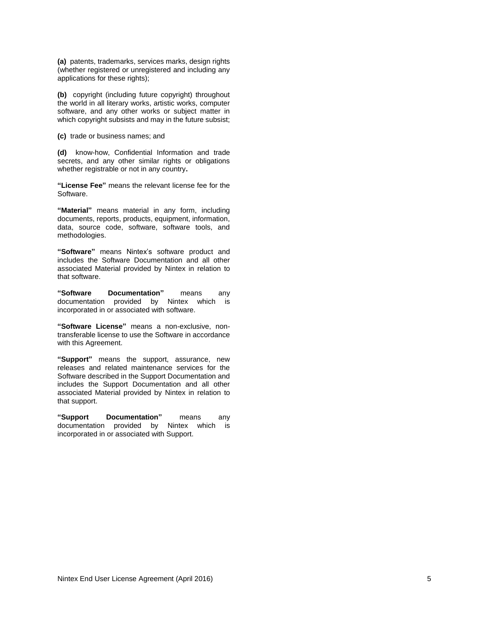**(a)** patents, trademarks, services marks, design rights (whether registered or unregistered and including any applications for these rights);

**(b)** copyright (including future copyright) throughout the world in all literary works, artistic works, computer software, and any other works or subject matter in which copyright subsists and may in the future subsist;

**(c)** trade or business names; and

**(d)** know-how, Confidential Information and trade secrets, and any other similar rights or obligations whether registrable or not in any country**.**

**"License Fee"** means the relevant license fee for the Software.

**"Material"** means material in any form, including documents, reports, products, equipment, information, data, source code, software, software tools, and methodologies.

**"Software"** means Nintex's software product and includes the Software Documentation and all other associated Material provided by Nintex in relation to that software.

**"Software Documentation"** means any documentation provided by Nintex which is incorporated in or associated with software.

**"Software License"** means a non-exclusive, nontransferable license to use the Software in accordance with this Agreement.

**"Support"** means the support, assurance, new releases and related maintenance services for the Software described in the Support Documentation and includes the Support Documentation and all other associated Material provided by Nintex in relation to that support.

**"Support Documentation"** means any documentation provided by Nintex which is incorporated in or associated with Support.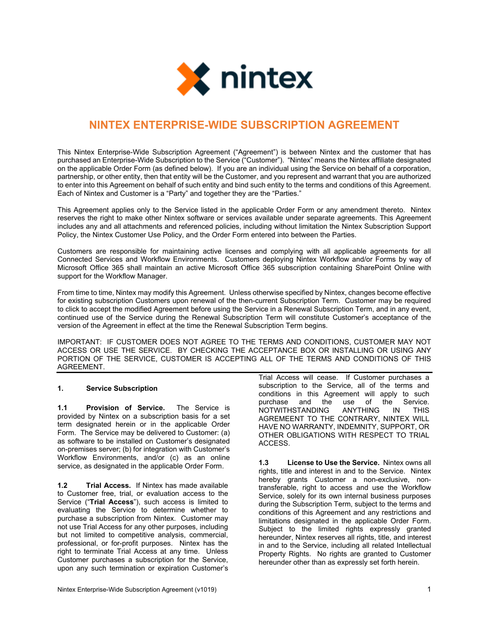

# **NINTEX ENTERPRISE-WIDE SUBSCRIPTION AGREEMENT**

This Nintex Enterprise-Wide Subscription Agreement ("Agreement") is between Nintex and the customer that has purchased an Enterprise-Wide Subscription to the Service ("Customer"). "Nintex" means the Nintex affiliate designated on the applicable Order Form (as defined below). If you are an individual using the Service on behalf of a corporation, partnership, or other entity, then that entity will be the Customer, and you represent and warrant that you are authorized to enter into this Agreement on behalf of such entity and bind such entity to the terms and conditions of this Agreement. Each of Nintex and Customer is a "Party" and together they are the "Parties."

This Agreement applies only to the Service listed in the applicable Order Form or any amendment thereto. Nintex reserves the right to make other Nintex software or services available under separate agreements. This Agreement includes any and all attachments and referenced policies, including without limitation the Nintex Subscription Support Policy, the Nintex Customer Use Policy, and the Order Form entered into between the Parties.

Customers are responsible for maintaining active licenses and complying with all applicable agreements for all Connected Services and Workflow Environments. Customers deploying Nintex Workflow and/or Forms by way of Microsoft Office 365 shall maintain an active Microsoft Office 365 subscription containing SharePoint Online with support for the Workflow Manager.

From time to time, Nintex may modify this Agreement. Unless otherwise specified by Nintex, changes become effective for existing subscription Customers upon renewal of the then-current Subscription Term. Customer may be required to click to accept the modified Agreement before using the Service in a Renewal Subscription Term, and in any event, continued use of the Service during the Renewal Subscription Term will constitute Customer's acceptance of the version of the Agreement in effect at the time the Renewal Subscription Term begins.

IMPORTANT: IF CUSTOMER DOES NOT AGREE TO THE TERMS AND CONDITIONS, CUSTOMER MAY NOT ACCESS OR USE THE SERVICE. BY CHECKING THE ACCEPTANCE BOX OR INSTALLING OR USING ANY PORTION OF THE SERVICE, CUSTOMER IS ACCEPTING ALL OF THE TERMS AND CONDITIONS OF THIS AGREEMENT.

# **1. Service Subscription**

**1.1 Provision of Service.** The Service is provided by Nintex on a subscription basis for a set term designated herein or in the applicable Order Form. The Service may be delivered to Customer: (a) as software to be installed on Customer's designated on-premises server; (b) for integration with Customer's Workflow Environments, and/or (c) as an online service, as designated in the applicable Order Form.

**1.2 Trial Access.** If Nintex has made available to Customer free, trial, or evaluation access to the Service ("**Trial Access**"), such access is limited to evaluating the Service to determine whether to purchase a subscription from Nintex. Customer may not use Trial Access for any other purposes, including but not limited to competitive analysis, commercial, professional, or for-profit purposes. Nintex has the right to terminate Trial Access at any time. Unless Customer purchases a subscription for the Service, upon any such termination or expiration Customer's

Nintex Enterprise-Wide Subscription Agreement (v1019) 1

Trial Access will cease. If Customer purchases a subscription to the Service, all of the terms and conditions in this Agreement will apply to such use of the Service.<br>ANYTHING IN THIS NOTWITHSTANDING AGREMEENT TO THE CONTRARY, NINTEX WILL HAVE NO WARRANTY, INDEMNITY, SUPPORT, OR OTHER OBLIGATIONS WITH RESPECT TO TRIAL ACCESS.

**1.3 License to Use the Service.** Nintex owns all rights, title and interest in and to the Service. Nintex hereby grants Customer a non-exclusive, nontransferable, right to access and use the Workflow Service, solely for its own internal business purposes during the Subscription Term, subject to the terms and conditions of this Agreement and any restrictions and limitations designated in the applicable Order Form. Subject to the limited rights expressly granted hereunder, Nintex reserves all rights, title, and interest in and to the Service, including all related Intellectual Property Rights. No rights are granted to Customer hereunder other than as expressly set forth herein.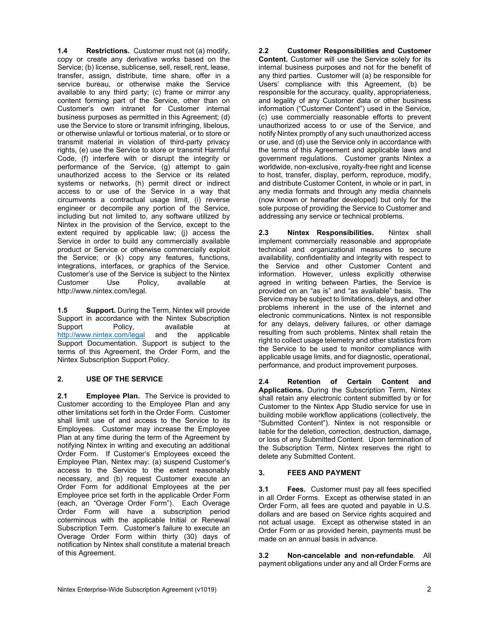**1.4 Restrictions.** Customer must not (a) modify, copy or create any derivative works based on the Service; (b) license, sublicense, sell, resell, rent, lease, transfer, assign, distribute, time share, offer in a service bureau, or otherwise make the Service available to any third party; (c) frame or mirror any content forming part of the Service, other than on Customer's own intranet for Customer internal business purposes as permitted in this Agreement; (d) use the Service to store or transmit infringing, libelous, or otherwise unlawful or tortious material, or to store or transmit material in violation of third-party privacy rights, (e) use the Service to store or transmit Harmful Code, (f) interfere with or disrupt the integrity or performance of the Service, (g) attempt to gain unauthorized access to the Service or its related systems or networks, (h) permit direct or indirect access to or use of the Service in a way that circumvents a contractual usage limit, (i) reverse engineer or decompile any portion of the Service, including but not limited to, any software utilized by Nintex in the provision of the Service, except to the extent required by applicable law; (j) access the Service in order to build any commercially available product or Service or otherwise commercially exploit the Service; or (k) copy any features, functions, integrations, interfaces, or graphics of the Service. Customer's use of the Service is subject to the Nintex Customer Use Policy, available at http://www.nintex.com/legal.

**1.5 Support.** During the Term, Nintex will provide Support in accordance with the Nintex Subscription Support Policy, available at<br>http://www.nintex.com/legal and the applicable <http://www.nintex.com/legal> Support Documentation. Support is subject to the terms of this Agreement, the Order Form, and the Nintex Subscription Support Policy.

# **2. USE OF THE SERVICE**

**2.1 Employee Plan.** The Service is provided to Customer according to the Employee Plan and any other limitations set forth in the Order Form. Customer shall limit use of and access to the Service to its Employees. Customer may increase the Employee Plan at any time during the term of the Agreement by notifying Nintex in writing and executing an additional Order Form. If Customer's Employees exceed the Employee Plan, Nintex may: (a) suspend Customer's access to the Service to the extent reasonably necessary, and (b) request Customer execute an Order Form for additional Employees at the per Employee price set forth in the applicable Order Form (each, an "Overage Order Form"). Each Overage Order Form will have a subscription period coterminous with the applicable Initial or Renewal Subscription Term. Customer's failure to execute an Overage Order Form within thirty (30) days of notification by Nintex shall constitute a material breach of this Agreement.

**2.2 Customer Responsibilities and Customer Content.** Customer will use the Service solely for its internal business purposes and not for the benefit of any third parties. Customer will (a) be responsible for Users' compliance with this Agreement, (b) be responsible for the accuracy, quality, appropriateness, and legality of any Customer data or other business information ("Customer Content") used in the Service, (c) use commercially reasonable efforts to prevent unauthorized access to or use of the Service, and notify Nintex promptly of any such unauthorized access or use, and (d) use the Service only in accordance with the terms of this Agreement and applicable laws and government regulations. Customer grants Nintex a worldwide, non-exclusive, royalty-free right and license to host, transfer, display, perform, reproduce, modify, and distribute Customer Content, in whole or in part, in any media formats and through any media channels (now known or hereafter developed) but only for the sole purpose of providing the Service to Customer and addressing any service or technical problems.

**2.3 Nintex Responsibilities.** Nintex shall implement commercially reasonable and appropriate technical and organizational measures to secure availability, confidentiality and integrity with respect to the Service and other Customer Content and information. However, unless explicitly otherwise agreed in writing between Parties, the Service is provided on an "as is" and "as available" basis. The Service may be subject to limitations, delays, and other problems inherent in the use of the internet and electronic communications. Nintex is not responsible for any delays, delivery failures, or other damage resulting from such problems. Nintex shall retain the right to collect usage telemetry and other statistics from the Service to be used to monitor compliance with applicable usage limits, and for diagnostic, operational, performance, and product improvement purposes.

**2.4 Retention of Certain Content and Applications.** During the Subscription Term, Nintex shall retain any electronic content submitted by or for Customer to the Nintex App Studio service for use in building mobile workflow applications (collectively, the "Submitted Content"). Nintex is not responsible or liable for the deletion, correction, destruction, damage, or loss of any Submitted Content. Upon termination of the Subscription Term, Nintex reserves the right to delete any Submitted Content.

# **3. FEES AND PAYMENT**

**3.1 Fees.** Customer must pay all fees specified in all Order Forms. Except as otherwise stated in an Order Form, all fees are quoted and payable in U.S. dollars and are based on Service rights acquired and not actual usage. Except as otherwise stated in an Order Form or as provided herein, payments must be made on an annual basis in advance.

**3.2 Non-cancelable and non-refundable**. All payment obligations under any and all Order Forms are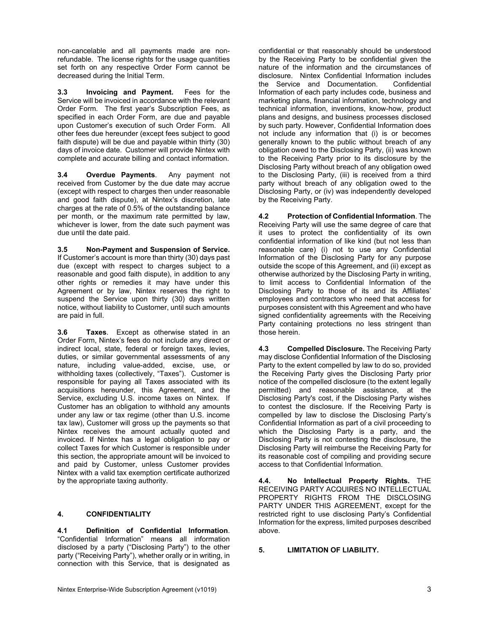non-cancelable and all payments made are nonrefundable. The license rights for the usage quantities set forth on any respective Order Form cannot be decreased during the Initial Term.

**3.3 Invoicing and Payment.** Fees for the Service will be invoiced in accordance with the relevant Order Form. The first year's Subscription Fees, as specified in each Order Form, are due and payable upon Customer's execution of such Order Form. All other fees due hereunder (except fees subject to good faith dispute) will be due and payable within thirty (30) days of invoice date. Customer will provide Nintex with complete and accurate billing and contact information.

**3.4 Overdue Payments**. Any payment not received from Customer by the due date may accrue (except with respect to charges then under reasonable and good faith dispute), at Nintex's discretion, late charges at the rate of 0.5% of the outstanding balance per month, or the maximum rate permitted by law, whichever is lower, from the date such payment was due until the date paid.

**3.5 Non-Payment and Suspension of Service.** If Customer's account is more than thirty (30) days past due (except with respect to charges subject to a reasonable and good faith dispute), in addition to any other rights or remedies it may have under this Agreement or by law, Nintex reserves the right to suspend the Service upon thirty (30) days written notice, without liability to Customer, until such amounts are paid in full.

**3.6 Taxes**. Except as otherwise stated in an Order Form, Nintex's fees do not include any direct or indirect local, state, federal or foreign taxes, levies, duties, or similar governmental assessments of any nature, including value-added, excise, use, or withholding taxes (collectively, "Taxes"). Customer is responsible for paying all Taxes associated with its acquisitions hereunder, this Agreement, and the Service, excluding U.S. income taxes on Nintex. If Customer has an obligation to withhold any amounts under any law or tax regime (other than U.S. income tax law), Customer will gross up the payments so that Nintex receives the amount actually quoted and invoiced. If Nintex has a legal obligation to pay or collect Taxes for which Customer is responsible under this section, the appropriate amount will be invoiced to and paid by Customer, unless Customer provides Nintex with a valid tax exemption certificate authorized by the appropriate taxing authority.

# **4. CONFIDENTIALITY**

**4.1 Definition of Confidential Information**. "Confidential Information" means all information disclosed by a party ("Disclosing Party") to the other party ("Receiving Party"), whether orally or in writing, in connection with this Service, that is designated as

confidential or that reasonably should be understood by the Receiving Party to be confidential given the nature of the information and the circumstances of disclosure. Nintex Confidential Information includes<br>the Service and Documentation. Confidential the Service and Documentation. Information of each party includes code, business and marketing plans, financial information, technology and technical information, inventions, know-how, product plans and designs, and business processes disclosed by such party. However, Confidential Information does not include any information that (i) is or becomes generally known to the public without breach of any obligation owed to the Disclosing Party, (ii) was known to the Receiving Party prior to its disclosure by the Disclosing Party without breach of any obligation owed to the Disclosing Party, (iii) is received from a third party without breach of any obligation owed to the Disclosing Party, or (iv) was independently developed by the Receiving Party.

**4.2 Protection of Confidential Information**. The Receiving Party will use the same degree of care that it uses to protect the confidentiality of its own confidential information of like kind (but not less than reasonable care) (i) not to use any Confidential Information of the Disclosing Party for any purpose outside the scope of this Agreement, and (ii) except as otherwise authorized by the Disclosing Party in writing, to limit access to Confidential Information of the Disclosing Party to those of its and its Affiliates' employees and contractors who need that access for purposes consistent with this Agreement and who have signed confidentiality agreements with the Receiving Party containing protections no less stringent than those herein.

**4.3 Compelled Disclosure.** The Receiving Party may disclose Confidential Information of the Disclosing Party to the extent compelled by law to do so, provided the Receiving Party gives the Disclosing Party prior notice of the compelled disclosure (to the extent legally permitted) and reasonable assistance, at the Disclosing Party's cost, if the Disclosing Party wishes to contest the disclosure. If the Receiving Party is compelled by law to disclose the Disclosing Party's Confidential Information as part of a civil proceeding to which the Disclosing Party is a party, and the Disclosing Party is not contesting the disclosure, the Disclosing Party will reimburse the Receiving Party for its reasonable cost of compiling and providing secure access to that Confidential Information.

**4.4. No Intellectual Property Rights.** THE RECEIVING PARTY ACQUIRES NO INTELLECTUAL PROPERTY RIGHTS FROM THE DISCLOSING PARTY UNDER THIS AGREEMENT, except for the restricted right to use disclosing Party's Confidential Information for the express, limited purposes described above.

#### **5. LIMITATION OF LIABILITY.**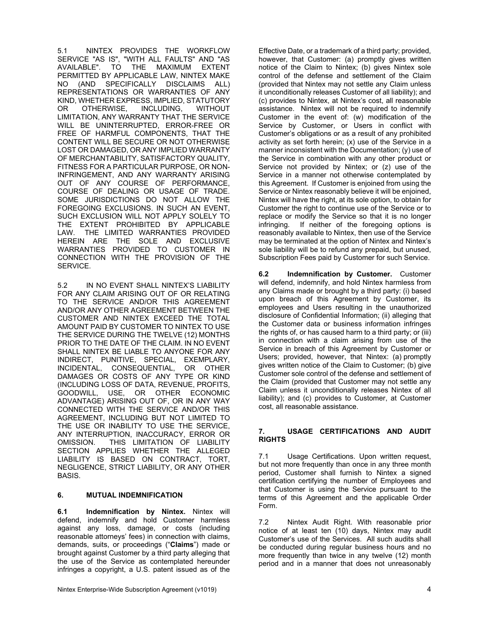5.1 NINTEX PROVIDES THE WORKFLOW SERVICE "AS IS", "WITH ALL FAULTS" AND "AS AVAILABLE". TO THE MAXIMUM EXTENT PERMITTED BY APPLICABLE LAW, NINTEX MAKE NO (AND SPECIFICALLY DISCLAIMS ALL) REPRESENTATIONS OR WARRANTIES OF ANY KIND, WHETHER EXPRESS, IMPLIED, STATUTORY OR OTHERWISE, INCLUDING, WITHOUT LIMITATION, ANY WARRANTY THAT THE SERVICE WILL BE UNINTERRUPTED, ERROR-FREE OR FREE OF HARMFUL COMPONENTS, THAT THE CONTENT WILL BE SECURE OR NOT OTHERWISE LOST OR DAMAGED, OR ANY IMPLIED WARRANTY OF MERCHANTABILITY, SATISFACTORY QUALITY, FITNESS FOR A PARTICULAR PURPOSE, OR NON-INFRINGEMENT, AND ANY WARRANTY ARISING OUT OF ANY COURSE OF PERFORMANCE, COURSE OF DEALING OR USAGE OF TRADE. SOME JURISDICTIONS DO NOT ALLOW THE FOREGOING EXCLUSIONS. IN SUCH AN EVENT, SUCH EXCLUSION WILL NOT APPLY SOLELY TO THE EXTENT PROHIBITED BY APPLICABLE LAW. THE LIMITED WARRANTIES PROVIDED HEREIN ARE THE SOLE AND EXCLUSIVE WARRANTIES PROVIDED TO CUSTOMER IN CONNECTION WITH THE PROVISION OF THE SERVICE.

5.2 IN NO EVENT SHALL NINTEX'S LIABILITY FOR ANY CLAIM ARISING OUT OF OR RELATING TO THE SERVICE AND/OR THIS AGREEMENT AND/OR ANY OTHER AGREEMENT BETWEEN THE CUSTOMER AND NINTEX EXCEED THE TOTAL AMOUNT PAID BY CUSTOMER TO NINTEX TO USE THE SERVICE DURING THE TWELVE (12) MONTHS PRIOR TO THE DATE OF THE CLAIM. IN NO EVENT SHALL NINTEX BE LIABLE TO ANYONE FOR ANY INDIRECT, PUNITIVE, SPECIAL, EXEMPLARY, INCIDENTAL, CONSEQUENTIAL, OR OTHER DAMAGES OR COSTS OF ANY TYPE OR KIND (INCLUDING LOSS OF DATA, REVENUE, PROFITS, GOODWILL, USE, OR OTHER ECONOMIC ADVANTAGE) ARISING OUT OF, OR IN ANY WAY CONNECTED WITH THE SERVICE AND/OR THIS AGREEMENT, INCLUDING BUT NOT LIMITED TO THE USE OR INABILITY TO USE THE SERVICE, ANY INTERRUPTION, INACCURACY, ERROR OR OMISSION. THIS LIMITATION OF LIABILITY SECTION APPLIES WHETHER THE ALLEGED LIABILITY IS BASED ON CONTRACT, TORT, NEGLIGENCE, STRICT LIABILITY, OR ANY OTHER BASIS.

#### **6. MUTUAL INDEMNIFICATION**

**6.1 Indemnification by Nintex.** Nintex will defend, indemnify and hold Customer harmless against any loss, damage, or costs (including reasonable attorneys' fees) in connection with claims, demands, suits, or proceedings ("**Claims**") made or brought against Customer by a third party alleging that the use of the Service as contemplated hereunder infringes a copyright, a U.S. patent issued as of the Effective Date, or a trademark of a third party; provided, however, that Customer: (a) promptly gives written notice of the Claim to Nintex; (b) gives Nintex sole control of the defense and settlement of the Claim (provided that Nintex may not settle any Claim unless it unconditionally releases Customer of all liability); and (c) provides to Nintex, at Nintex's cost, all reasonable assistance. Nintex will not be required to indemnify Customer in the event of: (w) modification of the Service by Customer, or Users in conflict with Customer's obligations or as a result of any prohibited activity as set forth herein; (x) use of the Service in a manner inconsistent with the Documentation; (y) use of the Service in combination with any other product or Service not provided by Nintex; or (z) use of the Service in a manner not otherwise contemplated by this Agreement. If Customer is enjoined from using the Service or Nintex reasonably believe it will be enjoined, Nintex will have the right, at its sole option, to obtain for Customer the right to continue use of the Service or to replace or modify the Service so that it is no longer<br>infringing. If neither of the foregoing options is If neither of the foregoing options is reasonably available to Nintex, then use of the Service may be terminated at the option of Nintex and Nintex's sole liability will be to refund any prepaid, but unused, Subscription Fees paid by Customer for such Service.

**6.2 Indemnification by Customer.** Customer will defend, indemnify, and hold Nintex harmless from any Claims made or brought by a third party: (i) based upon breach of this Agreement by Customer, its employees and Users resulting in the unauthorized disclosure of Confidential Information; (ii) alleging that the Customer data or business information infringes the rights of, or has caused harm to a third party; or (iii) in connection with a claim arising from use of the Service in breach of this Agreement by Customer or Users; provided, however, that Nintex: (a) promptly gives written notice of the Claim to Customer; (b) give Customer sole control of the defense and settlement of the Claim (provided that Customer may not settle any Claim unless it unconditionally releases Nintex of all liability); and (c) provides to Customer, at Customer cost, all reasonable assistance.

#### **7. USAGE CERTIFICATIONS AND AUDIT RIGHTS**

7.1 Usage Certifications. Upon written request, but not more frequently than once in any three month period, Customer shall furnish to Nintex a signed certification certifying the number of Employees and that Customer is using the Service pursuant to the terms of this Agreement and the applicable Order Form.

7.2 Nintex Audit Right. With reasonable prior notice of at least ten (10) days, Nintex may audit Customer's use of the Services. All such audits shall be conducted during regular business hours and no more frequently than twice in any twelve (12) month period and in a manner that does not unreasonably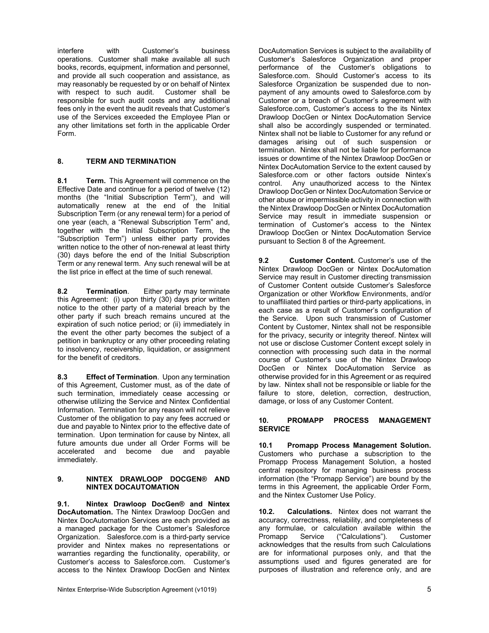interfere with Customer's business operations. Customer shall make available all such books, records, equipment, information and personnel, and provide all such cooperation and assistance, as may reasonably be requested by or on behalf of Nintex with respect to such audit. Customer shall be responsible for such audit costs and any additional fees only in the event the audit reveals that Customer's use of the Services exceeded the Employee Plan or any other limitations set forth in the applicable Order Form.

# **8. TERM AND TERMINATION**

**8.1 Term.** This Agreement will commence on the Effective Date and continue for a period of twelve (12) months (the "Initial Subscription Term"), and will automatically renew at the end of the Initial Subscription Term (or any renewal term) for a period of one year (each, a "Renewal Subscription Term" and, together with the Initial Subscription Term, the "Subscription Term") unless either party provides written notice to the other of non-renewal at least thirty (30) days before the end of the Initial Subscription Term or any renewal term. Any such renewal will be at the list price in effect at the time of such renewal.

**8.2 Termination**. Either party may terminate this Agreement: (i) upon thirty (30) days prior written notice to the other party of a material breach by the other party if such breach remains uncured at the expiration of such notice period; or (ii) immediately in the event the other party becomes the subject of a petition in bankruptcy or any other proceeding relating to insolvency, receivership, liquidation, or assignment for the benefit of creditors.

**8.3 Effect of Termination**. Upon any termination of this Agreement, Customer must, as of the date of such termination, immediately cease accessing or otherwise utilizing the Service and Nintex Confidential Information. Termination for any reason will not relieve Customer of the obligation to pay any fees accrued or due and payable to Nintex prior to the effective date of termination. Upon termination for cause by Nintex, all future amounts due under all Order Forms will be accelerated and become due and payable immediately.

#### **9. NINTEX DRAWLOOP DOCGEN® AND NINTEX DOCAUTOMATION**

**9.1. Nintex Drawloop DocGen® and Nintex DocAutomation.** The Nintex Drawloop DocGen and Nintex DocAutomation Services are each provided as a managed package for the Customer's Salesforce Organization. Salesforce.com is a third-party service provider and Nintex makes no representations or warranties regarding the functionality, operability, or Customer's access to Salesforce.com. Customer's access to the Nintex Drawloop DocGen and Nintex

DocAutomation Services is subject to the availability of Customer's Salesforce Organization and proper performance of the Customer's obligations to Salesforce.com. Should Customer's access to its Salesforce Organization be suspended due to nonpayment of any amounts owed to Salesforce.com by Customer or a breach of Customer's agreement with Salesforce.com, Customer's access to the its Nintex Drawloop DocGen or Nintex DocAutomation Service shall also be accordingly suspended or terminated. Nintex shall not be liable to Customer for any refund or damages arising out of such suspension or termination. Nintex shall not be liable for performance issues or downtime of the Nintex Drawloop DocGen or Nintex DocAutomation Service to the extent caused by Salesforce.com or other factors outside Nintex's<br>control. Any unauthorized access to the Nintex Any unauthorized access to the Nintex Drawloop DocGen or Nintex DocAutomation Service or other abuse or impermissible activity in connection with the Nintex Drawloop DocGen or Nintex DocAutomation Service may result in immediate suspension or termination of Customer's access to the Nintex Drawloop DocGen or Nintex DocAutomation Service pursuant to Section 8 of the Agreement.

**9.2 Customer Content.** Customer's use of the Nintex Drawloop DocGen or Nintex DocAutomation Service may result in Customer directing transmission of Customer Content outside Customer's Salesforce Organization or other Workflow Environments, and/or to unaffiliated third parties or third-party applications, in each case as a result of Customer's configuration of the Service. Upon such transmission of Customer Content by Customer, Nintex shall not be responsible for the privacy, security or integrity thereof. Nintex will not use or disclose Customer Content except solely in connection with processing such data in the normal course of Customer's use of the Nintex Drawloop DocGen or Nintex DocAutomation Service as otherwise provided for in this Agreement or as required by law. Nintex shall not be responsible or liable for the failure to store, deletion, correction, destruction, damage, or loss of any Customer Content.

#### **10. PROMAPP PROCESS MANAGEMENT SERVICE**

**10.1 Promapp Process Management Solution.**  Customers who purchase a subscription to the Promapp Process Management Solution, a hosted central repository for managing business process information (the "Promapp Service") are bound by the terms in this Agreement, the applicable Order Form, and the Nintex Customer Use Policy.

**10.2. Calculations.** Nintex does not warrant the accuracy, correctness, reliability, and completeness of any formulae, or calculation available within the ("Calculations"). acknowledges that the results from such Calculations are for informational purposes only, and that the assumptions used and figures generated are for purposes of illustration and reference only, and are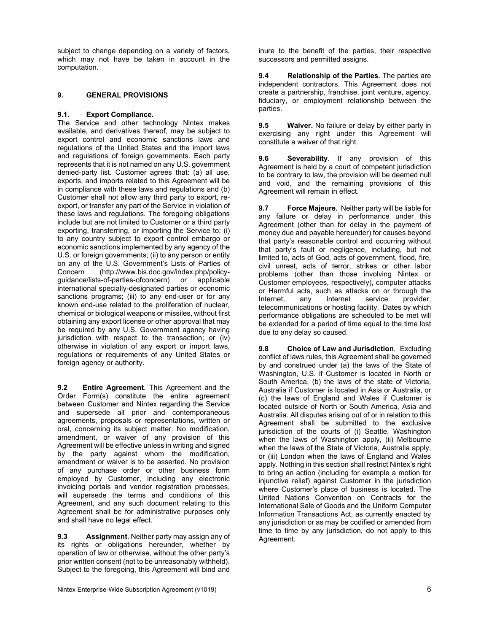subject to change depending on a variety of factors. which may not have be taken in account in the computation.

## **9. GENERAL PROVISIONS**

#### **9.1. Export Compliance.**

The Service and other technology Nintex makes available, and derivatives thereof, may be subject to export control and economic sanctions laws and regulations of the United States and the import laws and regulations of foreign governments. Each party represents that it is not named on any U.S. government denied-party list. Customer agrees that: (a) all use, exports, and imports related to this Agreement will be in compliance with these laws and regulations and (b) Customer shall not allow any third party to export, reexport, or transfer any part of the Service in violation of these laws and regulations. The foregoing obligations include but are not limited to Customer or a third party exporting, transferring, or importing the Service to: (i) to any country subject to export control embargo or economic sanctions implemented by any agency of the U.S. or foreign governments; (ii) to any person or entity on any of the U.S. Government's Lists of Parties of Concern (http://www.bis.doc.gov/index.php/policyguidance/lists-of-parties-ofconcern) or applicable international specially-designated parties or economic sanctions programs; (iii) to any end-user or for any known end-use related to the proliferation of nuclear, chemical or biological weapons or missiles, without first obtaining any export license or other approval that may be required by any U.S. Government agency having jurisdiction with respect to the transaction; or (iv) otherwise in violation of any export or import laws, regulations or requirements of any United States or foreign agency or authority.

**9.2 Entire Agreement**. This Agreement and the Order Form(s) constitute the entire agreement between Customer and Nintex regarding the Service and supersede all prior and contemporaneous agreements, proposals or representations, written or oral, concerning its subject matter. No modification, amendment, or waiver of any provision of this Agreement will be effective unless in writing and signed by the party against whom the modification, amendment or waiver is to be asserted. No provision of any purchase order or other business form employed by Customer, including any electronic invoicing portals and vendor registration processes, will supersede the terms and conditions of this Agreement, and any such document relating to this Agreement shall be for administrative purposes only and shall have no legal effect.

**9.3 Assignment**. Neither party may assign any of its rights or obligations hereunder, whether by operation of law or otherwise, without the other party's prior written consent (not to be unreasonably withheld). Subject to the foregoing, this Agreement will bind and inure to the benefit of the parties, their respective successors and permitted assigns.

**9.4 Relationship of the Parties**. The parties are independent contractors. This Agreement does not create a partnership, franchise, joint venture, agency, fiduciary, or employment relationship between the parties.

**9.5 Waiver.** No failure or delay by either party in exercising any right under this Agreement will constitute a waiver of that right.

**9.6 Severability**. If any provision of this Agreement is held by a court of competent jurisdiction to be contrary to law, the provision will be deemed null and void, and the remaining provisions of this Agreement will remain in effect.

**9.7 Force Majeure.** Neither party will be liable for any failure or delay in performance under this Agreement (other than for delay in the payment of money due and payable hereunder) for causes beyond that party's reasonable control and occurring without that party's fault or negligence, including, but not limited to, acts of God, acts of government, flood, fire, civil unrest, acts of terror, strikes or other labor problems (other than those involving Nintex or Customer employees, respectively), computer attacks or Harmful acts, such as attacks on or through the<br>Internet, any Internet service provider, any Internet service provider, telecommunications or hosting facility. Dates by which performance obligations are scheduled to be met will be extended for a period of time equal to the time lost due to any delay so caused.

**9.8 Choice of Law and Jurisdiction**. Excluding conflict of laws rules, this Agreement shall be governed by and construed under (a) the laws of the State of Washington, U.S. if Customer is located in North or South America, (b) the laws of the state of Victoria, Australia if Customer is located in Asia or Australia, or (c) the laws of England and Wales if Customer is located outside of North or South America, Asia and Australia. All disputes arising out of or in relation to this Agreement shall be submitted to the exclusive jurisdiction of the courts of (i) Seattle, Washington when the laws of Washington apply, (ii) Melbourne when the laws of the State of Victoria, Australia apply, or (iii) London when the laws of England and Wales apply. Nothing in this section shall restrict Nintex's right to bring an action (including for example a motion for injunctive relief) against Customer in the jurisdiction where Customer's place of business is located. The United Nations Convention on Contracts for the International Sale of Goods and the Uniform Computer Information Transactions Act, as currently enacted by any jurisdiction or as may be codified or amended from time to time by any jurisdiction, do not apply to this Agreement.